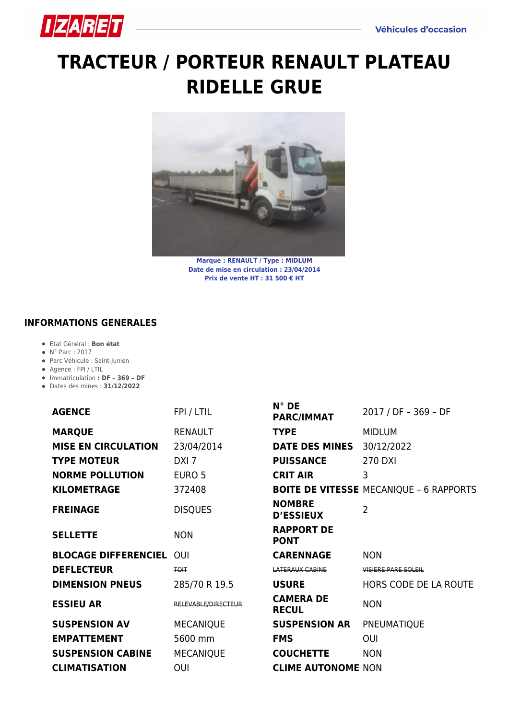

## **[TRACTEUR / PORTEUR RENAULT PLATEAU](https://izaret.fr/blog/2022/05/05/tracteur-porteur/) [RIDELLE GRUE](https://izaret.fr/blog/2022/05/05/tracteur-porteur/)**



**Marque : RENAULT / Type : MIDLUM Date de mise en circulation : 23/04/2014 Prix de vente HT : 31 500 € HT**

## **INFORMATIONS GENERALES**

- Etat Général : **Bon état**
- N° Parc : 2017
- Parc Véhicule : Saint-Junien
- Agence : FPI / LTIL
- Immatriculation **: DF 369 DF**
- Dates des mines : **31/12/2022**

| <b>AGENCE</b>               | FPI / LTIL          | N° DE<br><b>PARC/IMMAT</b>        | 2017 / DF - 369 - DF                           |
|-----------------------------|---------------------|-----------------------------------|------------------------------------------------|
| <b>MARQUE</b>               | <b>RENAULT</b>      | <b>TYPE</b>                       | <b>MIDLUM</b>                                  |
| <b>MISE EN CIRCULATION</b>  | 23/04/2014          | <b>DATE DES MINES</b>             | 30/12/2022                                     |
| <b>TYPE MOTEUR</b>          | DXI <sub>7</sub>    | <b>PUISSANCE</b>                  | <b>270 DXI</b>                                 |
| <b>NORME POLLUTION</b>      | EURO 5              | <b>CRIT AIR</b>                   | 3                                              |
| <b>KILOMETRAGE</b>          | 372408              |                                   | <b>BOITE DE VITESSE MECANIQUE - 6 RAPPORTS</b> |
| <b>FREINAGE</b>             | <b>DISQUES</b>      | <b>NOMBRE</b><br><b>D'ESSIEUX</b> | $\overline{2}$                                 |
| <b>SELLETTE</b>             | <b>NON</b>          | <b>RAPPORT DE</b><br><b>PONT</b>  |                                                |
| <b>BLOCAGE DIFFERENCIEL</b> | OUI                 | <b>CARENNAGE</b>                  | <b>NON</b>                                     |
| <b>DEFLECTEUR</b>           | <b>TOIT</b>         | <b>LATERAUX CABINE</b>            | <b>VISIERE PARE SOLEIL</b>                     |
| <b>DIMENSION PNEUS</b>      | 285/70 R 19.5       | <b>USURE</b>                      | HORS CODE DE LA ROUTE                          |
| <b>ESSIEU AR</b>            | RELEVABLE/DIRECTEUR | <b>CAMERA DE</b><br><b>RECUL</b>  | <b>NON</b>                                     |
| <b>SUSPENSION AV</b>        | <b>MECANIQUE</b>    | <b>SUSPENSION AR</b>              | PNEUMATIQUE                                    |
| <b>EMPATTEMENT</b>          | 5600 mm             | <b>FMS</b>                        | OUI                                            |
| <b>SUSPENSION CABINE</b>    | <b>MECANIQUE</b>    | <b>COUCHETTE</b>                  | <b>NON</b>                                     |
| <b>CLIMATISATION</b>        | OUI                 | <b>CLIME AUTONOME NON</b>         |                                                |